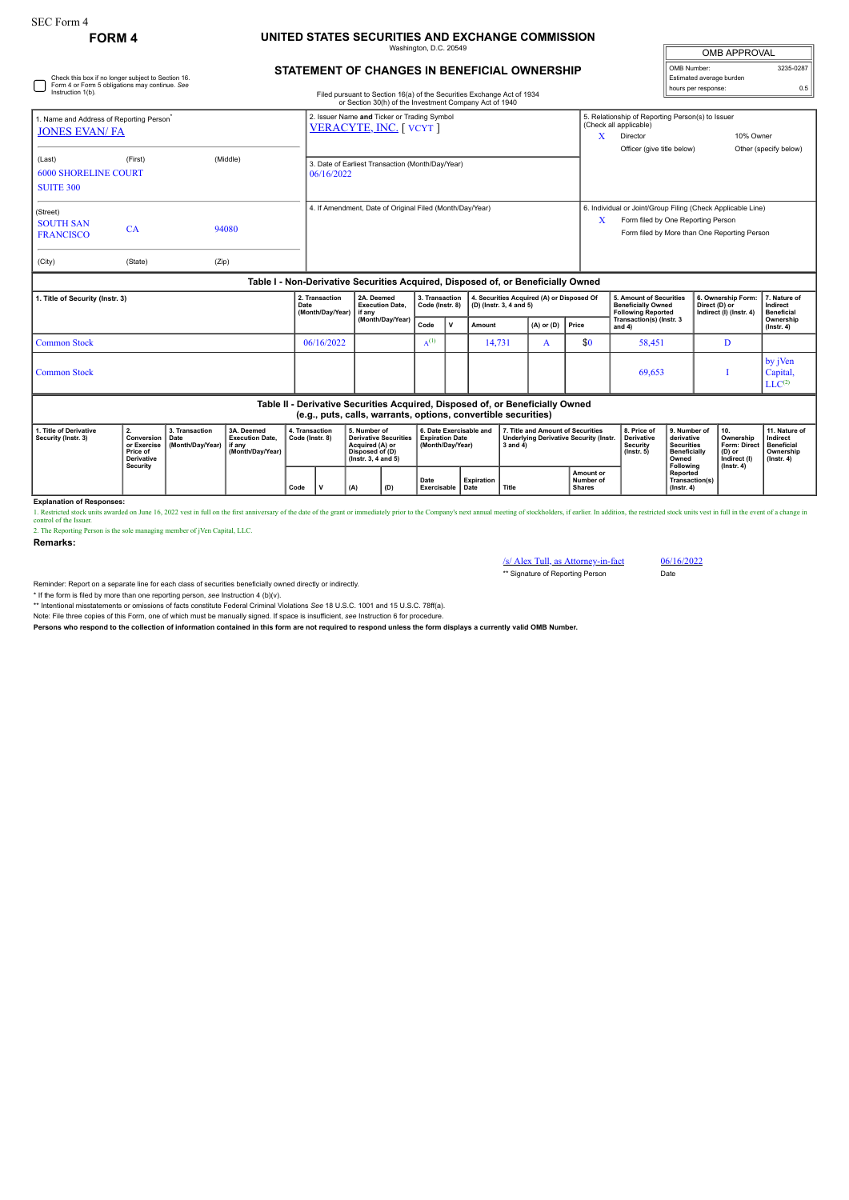## **FORM 4 UNITED STATES SECURITIES AND EXCHANGE COMMISSION** naton, D.C. 20

| <b>OMB APPROVAL</b>      |           |
|--------------------------|-----------|
| OMB Number:              | 3235-0287 |
| Estimated average burden |           |
| hours per response:      | ሰ 5       |

## **STATEMENT OF CHANGES IN BENEFICIAL OWNERSHIP**

| Instruction 1(b).                                                                | Check this box if no longer subject to Section 16.<br>Form 4 or Form 5 obligations may continue. See                 |                |                                            | Filed pursuant to Section 16(a) of the Securities Exchange Act of 1934<br>or Section 30(h) of the Investment Company Act of 1940 |                                   |  |                                                                      |       |                                    |                                                                                                                                                        |                                                               | Estimated average burden<br>hours per response:                | 0.5                                           |
|----------------------------------------------------------------------------------|----------------------------------------------------------------------------------------------------------------------|----------------|--------------------------------------------|----------------------------------------------------------------------------------------------------------------------------------|-----------------------------------|--|----------------------------------------------------------------------|-------|------------------------------------|--------------------------------------------------------------------------------------------------------------------------------------------------------|---------------------------------------------------------------|----------------------------------------------------------------|-----------------------------------------------|
| 1. Name and Address of Reporting Person <sup>*</sup><br><b>JONES EVAN/FA</b>     |                                                                                                                      |                |                                            | 2. Issuer Name and Ticker or Trading Symbol<br><b>VERACYTE, INC. [ VCYT ]</b>                                                    |                                   |  |                                                                      |       |                                    |                                                                                                                                                        | 5. Relationship of Reporting Person(s) to Issuer<br>10% Owner |                                                                |                                               |
| (Last)<br><b>SUITE 300</b>                                                       | (First)<br>(Middle)<br>3. Date of Earliest Transaction (Month/Day/Year)<br><b>6000 SHORELINE COURT</b><br>06/16/2022 |                |                                            |                                                                                                                                  |                                   |  |                                                                      |       | Officer (give title below)         |                                                                                                                                                        |                                                               | Other (specify below)                                          |                                               |
| (Street)<br><b>SOUTH SAN</b><br><b>FRANCISCO</b><br>(City)                       | CA<br>(State)                                                                                                        | 94080<br>(Zip) |                                            | 4. If Amendment, Date of Original Filed (Month/Day/Year)                                                                         |                                   |  |                                                                      |       |                                    | 6. Individual or Joint/Group Filing (Check Applicable Line)<br>x<br>Form filed by One Reporting Person<br>Form filed by More than One Reporting Person |                                                               |                                                                |                                               |
| Table I - Non-Derivative Securities Acquired, Disposed of, or Beneficially Owned |                                                                                                                      |                |                                            |                                                                                                                                  |                                   |  |                                                                      |       |                                    |                                                                                                                                                        |                                                               |                                                                |                                               |
| 1. Title of Security (Instr. 3)                                                  |                                                                                                                      |                | 2. Transaction<br>Date<br>(Month/Day/Year) | 2A. Deemed<br><b>Execution Date.</b><br>if any                                                                                   | 3. Transaction<br>Code (Instr. 8) |  | 4. Securities Acquired (A) or Disposed Of<br>(D) (Instr. 3, 4 and 5) |       |                                    | 5. Amount of Securities<br><b>Beneficially Owned</b><br><b>Following Reported</b>                                                                      |                                                               | 6. Ownership Form:<br>Direct (D) or<br>Indirect (I) (Instr. 4) | 7. Nature of<br>Indirect<br><b>Beneficial</b> |
|                                                                                  |                                                                                                                      |                |                                            | (Month/Day/Year)                                                                                                                 | Code                              |  | $(A)$ or $(D)$<br>Amount                                             | Price | Transaction(s) (Instr. 3<br>and 4) |                                                                                                                                                        |                                                               | Ownership<br>$($ lnstr. 4 $)$                                  |                                               |

Common Stock  $\begin{array}{|c|c|c|c|c|c|c|c|c|} \hline 06/16/2022 & \text{A}^{(1)} \\\hline \end{array}$ 14,731 A \$0 58,451 D  $Common Stock$   $I$ by jVen Capital,<br>LLC<sup>(2)</sup> **Table II - Derivative Securities Acquired, Disposed of, or Beneficially Owned (e.g., puts, calls, warrants, options, convertible securities)**

| 1. Title of Derivative<br>Security (Instr. 3) | <b>Conversion   Date</b><br>Price of<br>Derivative<br>Security | ≀ 3. Transaction<br>or Exercise I (Month/Dav/Year) I if anv | 3A. Deemed<br><b>Execution Date.</b><br>(Month/Dav/Year) | 4. Transaction<br>Code (Instr. 8) |  | 5. Number of<br>Derivative Securities   Expiration Date<br>Acquired (A) or<br>Disposed of (D)<br>$($ lnstr. 3. 4 and 5 $)$ |     | ←6. Date Exercisable and<br>(Month/Dav/Year) |                   | 17. Title and Amount of Securities<br>Underlying Derivative Security (Instr.<br>3 and 4 |                                                | 8. Price of<br><b>Derivative</b><br>Security<br>$($ lnstr $, 5)$ | l 9. Number of<br>derivative<br><b>Securities</b><br><b>Beneficially</b><br>Owned<br>Following | Ownership<br>Form: Direct   Beneficial<br>(D) or<br>Indirect (I)<br>$($ lnstr. 4 $)$ | l 11. Nature of<br>Indirect<br>Ownership<br>$($ lnstr. 4 $)$ |
|-----------------------------------------------|----------------------------------------------------------------|-------------------------------------------------------------|----------------------------------------------------------|-----------------------------------|--|----------------------------------------------------------------------------------------------------------------------------|-----|----------------------------------------------|-------------------|-----------------------------------------------------------------------------------------|------------------------------------------------|------------------------------------------------------------------|------------------------------------------------------------------------------------------------|--------------------------------------------------------------------------------------|--------------------------------------------------------------|
|                                               |                                                                |                                                             |                                                          | Code                              |  | (A)                                                                                                                        | (D) | Date<br><b>Exercisable   Date</b>            | <b>Expiration</b> | Title                                                                                   | <b>Amount or</b><br>Number of<br><b>Shares</b> |                                                                  | <b>Reported</b><br>Transaction(s)<br>(Instr. 4)                                                |                                                                                      |                                                              |

**Explanation of Responses:**<br>1. Restricted stock units awarded on June 16, 2022 vest in full on the first anniversary of the date of the grant or immediately prior to the Company's next annual meeting of stockholders, if ea

2. The Reporting Person is the sole managing member of jVen Capital, LLC.

**Remarks:**

/s/ Alex Tull, as Attorney-in-fact<br>
\*\* Signature of Reporting Person<br>
Date \*\* Signature of Reporting Person

Reminder: Report on a separate line for each class of securities beneficially owned directly or indirectly.

\* If the form is filed by more than one reporting person, *see* Instruction 4 (b)(v). \*\* Intentional misstatements or omissions of facts constitute Federal Criminal Violations *See* 18 U.S.C. 1001 and 15 U.S.C. 78ff(a).

Note: File three copies of this Form, one of which must be manually signed. If space is insufficient, *see* Instruction 6 for procedure.

**Persons who respond to the collection of information contained in this form are not required to respond unless the form displays a currently valid OMB Number.**